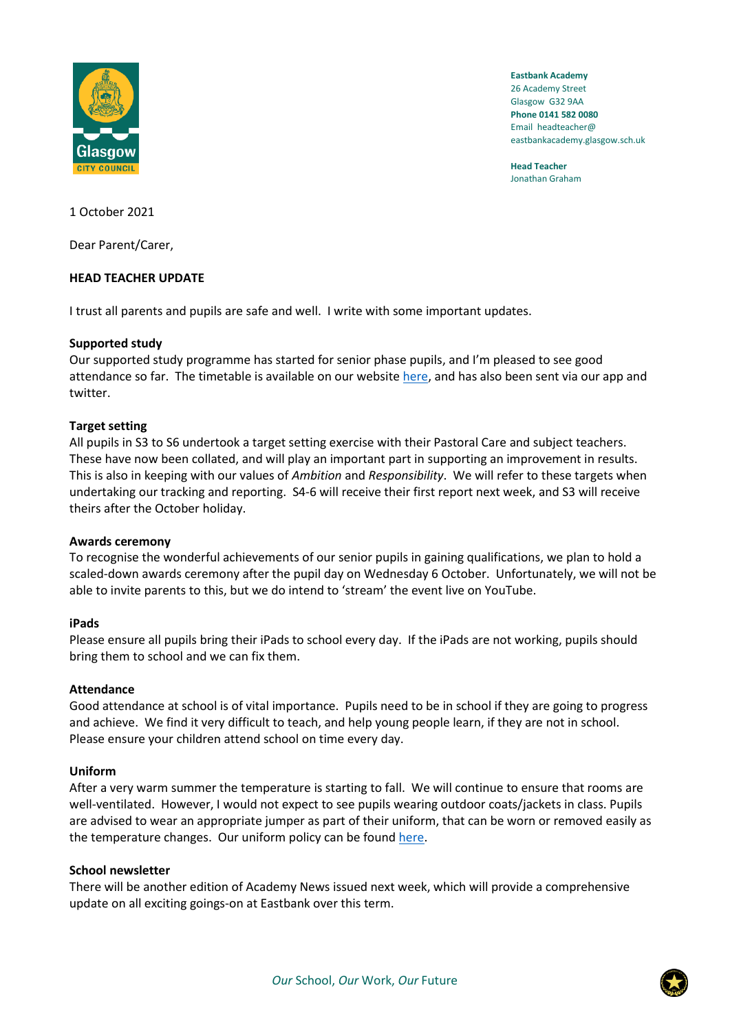

**Eastbank Academy** 26 Academy Street Glasgow G32 9AA **Phone 0141 582 0080** Email headteacher@ eastbankacademy.glasgow.sch.uk

**Head Teacher** Jonathan Graham

1 October 2021

Dear Parent/Carer,

# **HEAD TEACHER UPDATE**

I trust all parents and pupils are safe and well. I write with some important updates.

# **Supported study**

Our supported study programme has started for senior phase pupils, and I'm pleased to see good attendance so far. The timetable is available on our websit[e here,](https://manage.appscentral.co.uk/uploads/client/documents/4306/8c84_Supported%20Study%20Block%201%20timetable%20sep%20-%20dec.pdf) and has also been sent via our app and twitter.

# **Target setting**

All pupils in S3 to S6 undertook a target setting exercise with their Pastoral Care and subject teachers. These have now been collated, and will play an important part in supporting an improvement in results. This is also in keeping with our values of *Ambition* and *Responsibility*. We will refer to these targets when undertaking our tracking and reporting. S4-6 will receive their first report next week, and S3 will receive theirs after the October holiday.

### **Awards ceremony**

To recognise the wonderful achievements of our senior pupils in gaining qualifications, we plan to hold a scaled-down awards ceremony after the pupil day on Wednesday 6 October. Unfortunately, we will not be able to invite parents to this, but we do intend to 'stream' the event live on YouTube.

### **iPads**

Please ensure all pupils bring their iPads to school every day. If the iPads are not working, pupils should bring them to school and we can fix them.

### **Attendance**

Good attendance at school is of vital importance. Pupils need to be in school if they are going to progress and achieve. We find it very difficult to teach, and help young people learn, if they are not in school. Please ensure your children attend school on time every day.

### **Uniform**

After a very warm summer the temperature is starting to fall. We will continue to ensure that rooms are well-ventilated. However, I would not expect to see pupils wearing outdoor coats/jackets in class. Pupils are advised to wear an appropriate jumper as part of their uniform, that can be worn or removed easily as the temperature changes. Our uniform policy can be found [here.](https://manage.appscentral.co.uk/uploads/client/documents/4306/105a_Uniform%20leaflet.pdf)

### **School newsletter**

There will be another edition of Academy News issued next week, which will provide a comprehensive update on all exciting goings-on at Eastbank over this term.